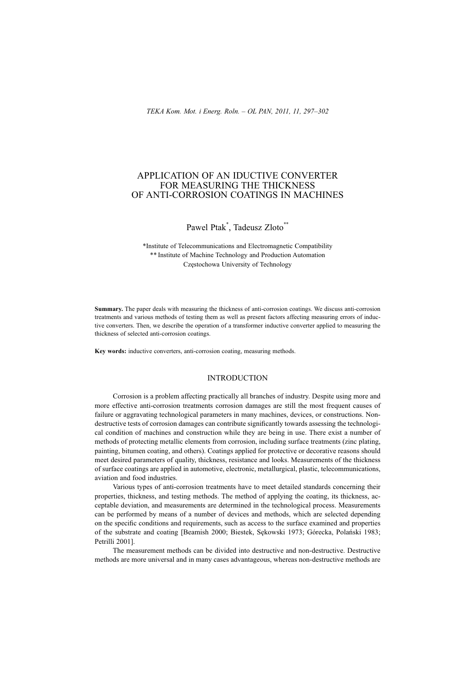# APPLICATION OF AN IDUCTIVE CONVERTER FOR MEASURING THE THICKNESS OF ANTI-CORROSION COATINGS IN MACHINES

# Pawel Ptak<sup>\*</sup>, Tadeusz Zloto<sup>\*\*</sup>

\*Institute of Telecommunications and Electromagnetic Compatibility \*\* Institute of Machine Technology and Production Automation Częstochowa University of Technology

**Summary.** The paper deals with measuring the thickness of anti-corrosion coatings. We discuss anti-corrosion treatments and various methods of testing them as well as present factors affecting measuring errors of inductive converters. Then, we describe the operation of a transformer inductive converter applied to measuring the thickness of selected anti-corrosion coatings.

**Key words:** inductive converters, anti-corrosion coating, measuring methods.

#### INTRODUCTION

Corrosion is a problem affecting practically all branches of industry. Despite using more and more effective anti-corrosion treatments corrosion damages are still the most frequent causes of failure or aggravating technological parameters in many machines, devices, or constructions. Nondestructive tests of corrosion damages can contribute significantly towards assessing the technological condition of machines and construction while they are being in use. There exist a number of methods of protecting metallic elements from corrosion, including surface treatments (zinc plating, painting, bitumen coating, and others). Coatings applied for protective or decorative reasons should meet desired parameters of quality, thickness, resistance and looks. Measurements of the thickness of surface coatings are applied in automotive, electronic, metallurgical, plastic, telecommunications, aviation and food industries.

Various types of anti-corrosion treatments have to meet detailed standards concerning their properties, thickness, and testing methods. The method of applying the coating, its thickness, acceptable deviation, and measurements are determined in the technological process. Measurements can be performed by means of a number of devices and methods, which are selected depending on the specific conditions and requirements, such as access to the surface examined and properties of the substrate and coating [Beamish 2000; Biestek, Sekowski 1973; Górecka, Polański 1983; Petrilli 2001].

The measurement methods can be divided into destructive and non-destructive. Destructive methods are more universal and in many cases advantageous, whereas non-destructive methods are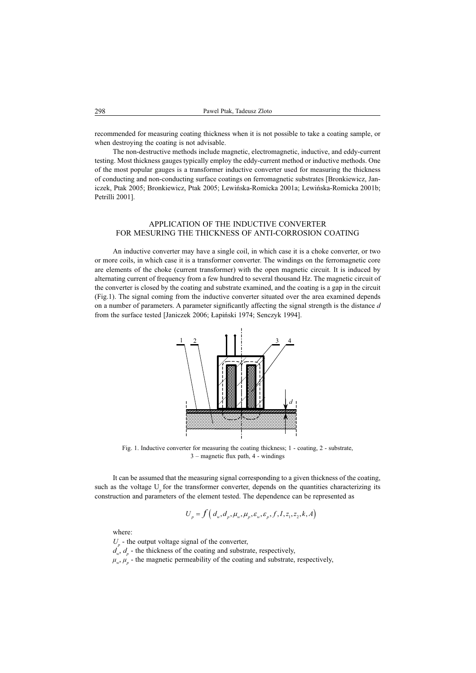recommended for measuring coating thickness when it is not possible to take a coating sample, or when destroying the coating is not advisable.

The non-destructive methods include magnetic, electromagnetic, inductive, and eddy-current testing. Most thickness gauges typically employ the eddy-current method or inductive methods. One of the most popular gauges is a transformer inductive converter used for measuring the thickness of conducting and non-conducting surface coatings on ferromagnetic substrates [Bronkiewicz, Janiczek, Ptak 2005; Bronkiewicz, Ptak 2005; Lewińska-Romicka 2001a; Lewińska-Romicka 2001b; Petrilli 2001].

#### APPLICATION OF THE INDUCTIVE CONVERTER FOR MESURING THE THICKNESS OF ANTI-CORROSION COATING

An inductive converter may have a single coil, in which case it is a choke converter, or two or more coils, in which case it is a transformer converter. The windings on the ferromagnetic core are elements of the choke (current transformer) with the open magnetic circuit. It is induced by alternating current of frequency from a few hundred to several thousand Hz. The magnetic circuit of the converter is closed by the coating and substrate examined, and the coating is a gap in the circuit (Fig.1). The signal coming from the inductive converter situated over the area examined depends on a number of parameters. A parameter significantly affecting the signal strength is the distance *d* from the surface tested [Janiczek 2006; Łapiński 1974; Senczyk 1994].



Fig. 1. Inductive converter for measuring the coating thickness; 1 - coating, 2 - substrate,  $3$  – magnetic flux path,  $4$  - windings

It can be assumed that the measuring signal corresponding to a given thickness of the coating, such as the voltage  $U_{p}$  for the transformer converter, depends on the quantities characterizing its construction and parameters of the element tested. The dependence can be represented as

$$
U_{p} = f(d_{w}, d_{p}, \mu_{w}, \mu_{p}, \varepsilon_{w}, \varepsilon_{p}, f, I, z_{1}, z_{2}, k, A)
$$

where:

 $U_p$  - the output voltage signal of the converter,  $d_{w}$ ,  $d_{p}$  - the thickness of the coating and substrate, respectively,  $\mu_w$ ,  $\mu_p$  - the magnetic permeability of the coating and substrate, respectively,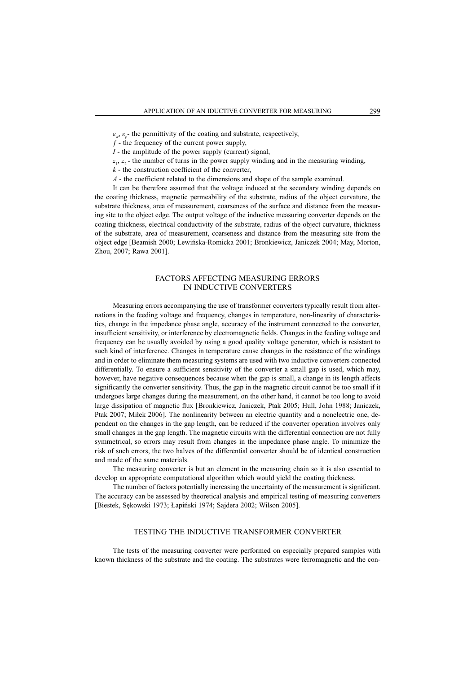$\varepsilon_w$ ,  $\varepsilon_p$  the permittivity of the coating and substrate, respectively,

 $f$  - the frequency of the current power supply,

*I* - the amplitude of the power supply (current) signal,

 $z_1, z_2$  the number of turns in the power supply winding and in the measuring winding,

 $k$  - the construction coefficient of the converter,

*A* - the coefficient related to the dimensions and shape of the sample examined.

It can be therefore assumed that the voltage induced at the secondary winding depends on the coating thickness, magnetic permeability of the substrate, radius of the object curvature, the substrate thickness, area of measurement, coarseness of the surface and distance from the measuring site to the object edge. The output voltage of the inductive measuring converter depends on the coating thickness, electrical conductivity of the substrate, radius of the object curvature, thickness of the substrate, area of measurement, coarseness and distance from the measuring site from the object edge [Beamish 2000; Lewińska-Romicka 2001; Bronkiewicz, Janiczek 2004; May, Morton, Zhou, 2007; Rawa 2001].

#### FACTORS AFFECTING MEASURING ERRORS IN INDUCTIVE CONVERTERS

Measuring errors accompanying the use of transformer converters typically result from alternations in the feeding voltage and frequency, changes in temperature, non-linearity of characteristics, change in the impedance phase angle, accuracy of the instrument connected to the converter, insufficient sensitivity, or interference by electromagnetic fields. Changes in the feeding voltage and frequency can be usually avoided by using a good quality voltage generator, which is resistant to such kind of interference. Changes in temperature cause changes in the resistance of the windings and in order to eliminate them measuring systems are used with two inductive converters connected differentially. To ensure a sufficient sensitivity of the converter a small gap is used, which may, however, have negative consequences because when the gap is small, a change in its length affects significantly the converter sensitivity. Thus, the gap in the magnetic circuit cannot be too small if it undergoes large changes during the measurement, on the other hand, it cannot be too long to avoid large dissipation of magnetic flux [Bronkiewicz, Janiczek, Ptak 2005; Hull, John 1988; Janiczek, Ptak 2007; Miłek 2006]. The nonlinearity between an electric quantity and a nonelectric one, dependent on the changes in the gap length, can be reduced if the converter operation involves only small changes in the gap length. The magnetic circuits with the differential connection are not fully symmetrical, so errors may result from changes in the impedance phase angle. To minimize the risk of such errors, the two halves of the differential converter should be of identical construction and made of the same materials.

The measuring converter is but an element in the measuring chain so it is also essential to develop an appropriate computational algorithm which would yield the coating thickness.

The number of factors potentially increasing the uncertainty of the measurement is significant. The accuracy can be assessed by theoretical analysis and empirical testing of measuring converters [Biestek, Sekowski 1973; Łapiński 1974; Sajdera 2002; Wilson 2005].

## TESTING THE INDUCTIVE TRANSFORMER CONVERTER

The tests of the measuring converter were performed on especially prepared samples with known thickness of the substrate and the coating. The substrates were ferromagnetic and the con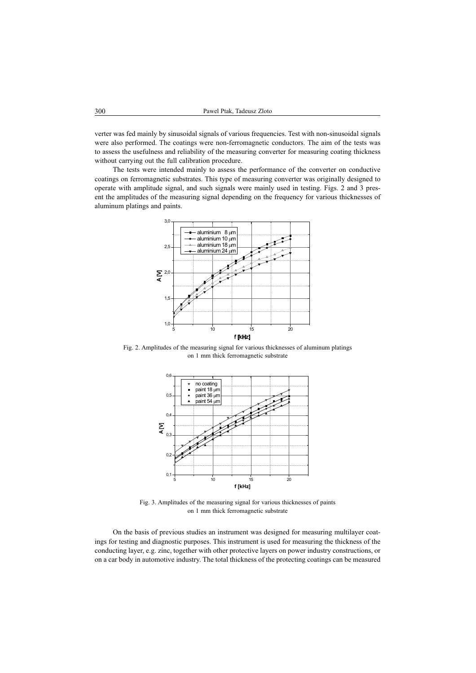verter was fed mainly by sinusoidal signals of various frequencies. Test with non-sinusoidal signals were also performed. The coatings were non-ferromagnetic conductors. The aim of the tests was to assess the usefulness and reliability of the measuring converter for measuring coating thickness without carrying out the full calibration procedure.

The tests were intended mainly to assess the performance of the converter on conductive coatings on ferromagnetic substrates. This type of measuring converter was originally designed to operate with amplitude signal, and such signals were mainly used in testing. Figs. 2 and 3 present the amplitudes of the measuring signal depending on the frequency for various thicknesses of aluminum platings and paints.



Fig. 2. Amplitudes of the measuring signal for various thicknesses of aluminum platings on 1 mm thick ferromagnetic substrate



Fig. 3. Amplitudes of the measuring signal for various thicknesses of paints on 1 mm thick ferromagnetic substrate

On the basis of previous studies an instrument was designed for measuring multilayer coatings for testing and diagnostic purposes. This instrument is used for measuring the thickness of the conducting layer, e.g. zinc, together with other protective layers on power industry constructions, or on a car body in automotive industry. The total thickness of the protecting coatings can be measured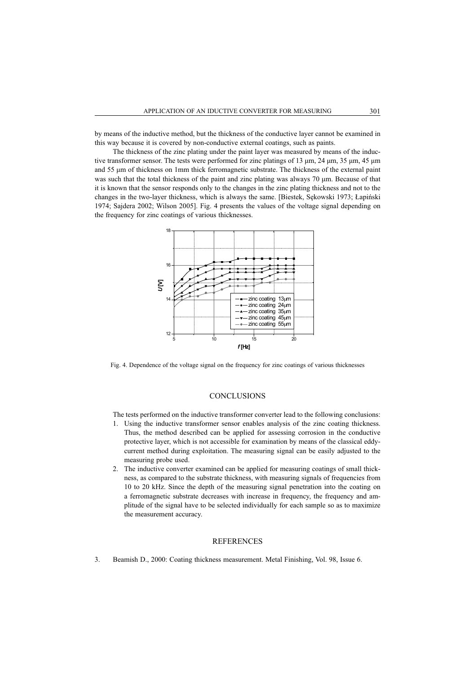by means of the inductive method, but the thickness of the conductive layer cannot be examined in this way because it is covered by non-conductive external coatings, such as paints.

The thickness of the zinc plating under the paint layer was measured by means of the inductive transformer sensor. The tests were performed for zinc platings of 13  $\mu$ m, 24  $\mu$ m, 35  $\mu$ m, 45  $\mu$ m and 55 µm of thickness on 1mm thick ferromagnetic substrate. The thickness of the external paint was such that the total thickness of the paint and zinc plating was always 70  $\mu$ m. Because of that it is known that the sensor responds only to the changes in the zinc plating thickness and not to the changes in the two-layer thickness, which is always the same. [Biestek, Sękowski 1973; Łapiński 1974; Sajdera 2002; Wilson 2005]. Fig. 4 presents the values of the voltage signal depending on the frequency for zinc coatings of various thicknesses.



Fig. 4. Dependence of the voltage signal on the frequency for zinc coatings of various thicknesses

#### **CONCLUSIONS**

The tests performed on the inductive transformer converter lead to the following conclusions:

- 1. Using the inductive transformer sensor enables analysis of the zinc coating thickness. Thus, the method described can be applied for assessing corrosion in the conductive protective layer, which is not accessible for examination by means of the classical eddycurrent method during exploitation. The measuring signal can be easily adjusted to the measuring probe used.
- 2. The inductive converter examined can be applied for measuring coatings of small thickness, as compared to the substrate thickness, with measuring signals of frequencies from 10 to 20 kHz. Since the depth of the measuring signal penetration into the coating on a ferromagnetic substrate decreases with increase in frequency, the frequency and amplitude of the signal have to be selected individually for each sample so as to maximize the measurement accuracy.

### **REFERENCES**

3. Beamish D., 2000: Coating thickness measurement. Metal Finishing, Vol. 98, Issue 6.